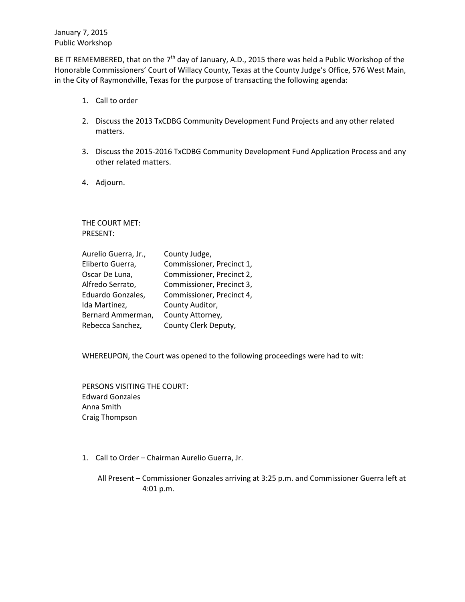January 7, 2015 Public Workshop

BE IT REMEMBERED, that on the  $7<sup>th</sup>$  day of January, A.D., 2015 there was held a Public Workshop of the Honorable Commissioners' Court of Willacy County, Texas at the County Judge's Office, 576 West Main, in the City of Raymondville, Texas for the purpose of transacting the following agenda:

- 1. Call to order
- 2. Discuss the 2013 TxCDBG Community Development Fund Projects and any other related matters.
- 3. Discuss the 2015-2016 TxCDBG Community Development Fund Application Process and any other related matters.
- 4. Adjourn.

THE COURT MET: PRESENT:

| Aurelio Guerra, Jr., | County Judge,             |
|----------------------|---------------------------|
| Eliberto Guerra,     | Commissioner, Precinct 1, |
| Oscar De Luna,       | Commissioner, Precinct 2, |
| Alfredo Serrato,     | Commissioner, Precinct 3, |
| Eduardo Gonzales,    | Commissioner, Precinct 4, |
| Ida Martinez,        | County Auditor,           |
| Bernard Ammerman,    | County Attorney,          |
| Rebecca Sanchez,     | County Clerk Deputy,      |

WHEREUPON, the Court was opened to the following proceedings were had to wit:

PERSONS VISITING THE COURT: Edward Gonzales Anna Smith Craig Thompson

1. Call to Order – Chairman Aurelio Guerra, Jr.

All Present – Commissioner Gonzales arriving at 3:25 p.m. and Commissioner Guerra left at 4:01 p.m.